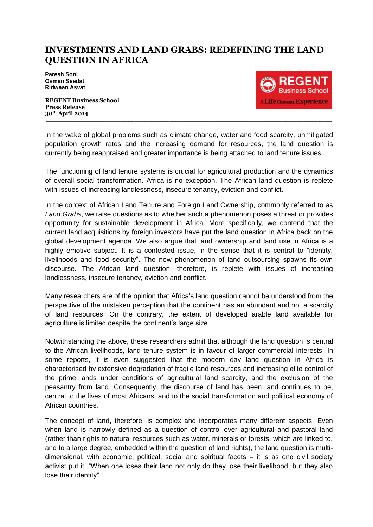## **INVESTMENTS AND LAND GRABS: REDEFINING THE LAND QUESTION IN AFRICA**

**Paresh Soni Osman Seedat Ridwaan Asvat**

**REGENT Business School Press Release 30th April 2014 \_\_\_\_\_\_\_\_\_\_\_\_\_\_\_\_\_\_\_\_\_\_\_\_\_\_\_\_\_\_\_\_\_\_\_\_\_\_\_\_\_\_\_\_\_\_\_\_\_\_\_\_\_\_\_\_\_\_\_\_\_\_\_\_\_\_\_\_\_\_\_\_\_\_\_\_\_\_\_\_\_**



In the wake of global problems such as climate change, water and food scarcity, unmitigated population growth rates and the increasing demand for resources, the land question is currently being reappraised and greater importance is being attached to land tenure issues.

The functioning of land tenure systems is crucial for agricultural production and the dynamics of overall social transformation. Africa is no exception. The African land question is replete with issues of increasing landlessness, insecure tenancy, eviction and conflict.

In the context of African Land Tenure and Foreign Land Ownership, commonly referred to as *Land Grabs*, we raise questions as to whether such a phenomenon poses a threat or provides opportunity for sustainable development in Africa. More specifically, we contend that the current land acquisitions by foreign investors have put the land question in Africa back on the global development agenda. We also argue that land ownership and land use in Africa is a highly emotive subject. It is a contested issue, in the sense that it is central to "identity, livelihoods and food security". The new phenomenon of land outsourcing spawns its own discourse. The African land question, therefore, is replete with issues of increasing landlessness, insecure tenancy, eviction and conflict.

Many researchers are of the opinion that Africa's land question cannot be understood from the perspective of the mistaken perception that the continent has an abundant and not a scarcity of land resources. On the contrary, the extent of developed arable land available for agriculture is limited despite the continent's large size.

Notwithstanding the above, these researchers admit that although the land question is central to the African livelihoods, land tenure system is in favour of larger commercial interests. In some reports, it is even suggested that the modern day land question in Africa is characterised by extensive degradation of fragile land resources and increasing elite control of the prime lands under conditions of agricultural land scarcity, and the exclusion of the peasantry from land. Consequently, the discourse of land has been, and continues to be, central to the lives of most Africans, and to the social transformation and political economy of African countries.

The concept of land, therefore, is complex and incorporates many different aspects. Even when land is narrowly defined as a question of control over agricultural and pastoral land (rather than rights to natural resources such as water, minerals or forests, which are linked to, and to a large degree, embedded within the question of land rights), the land question is multidimensional, with economic, political, social and spiritual facets – it is as one civil society activist put it, "When one loses their land not only do they lose their livelihood, but they also lose their identity".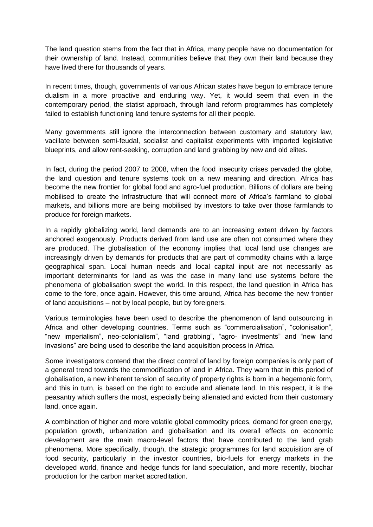The land question stems from the fact that in Africa, many people have no documentation for their ownership of land. Instead, communities believe that they own their land because they have lived there for thousands of years.

In recent times, though, governments of various African states have begun to embrace tenure dualism in a more proactive and enduring way. Yet, it would seem that even in the contemporary period, the statist approach, through land reform programmes has completely failed to establish functioning land tenure systems for all their people.

Many governments still ignore the interconnection between customary and statutory law, vacillate between semi-feudal, socialist and capitalist experiments with imported legislative blueprints, and allow rent-seeking, corruption and land grabbing by new and old elites.

In fact, during the period 2007 to 2008, when the food insecurity crises pervaded the globe, the land question and tenure systems took on a new meaning and direction. Africa has become the new frontier for global food and agro-fuel production. Billions of dollars are being mobilised to create the infrastructure that will connect more of Africa's farmland to global markets, and billions more are being mobilised by investors to take over those farmlands to produce for foreign markets.

In a rapidly globalizing world, land demands are to an increasing extent driven by factors anchored exogenously. Products derived from land use are often not consumed where they are produced. The globalisation of the economy implies that local land use changes are increasingly driven by demands for products that are part of commodity chains with a large geographical span. Local human needs and local capital input are not necessarily as important determinants for land as was the case in many land use systems before the phenomena of globalisation swept the world. In this respect, the land question in Africa has come to the fore, once again. However, this time around, Africa has become the new frontier of land acquisitions – not by local people, but by foreigners.

Various terminologies have been used to describe the phenomenon of land outsourcing in Africa and other developing countries. Terms such as "commercialisation", "colonisation", "new imperialism", neo-colonialism", "land grabbing", "agro- investments" and "new land invasions" are being used to describe the land acquisition process in Africa.

Some investigators contend that the direct control of land by foreign companies is only part of a general trend towards the commodification of land in Africa. They warn that in this period of globalisation, a new inherent tension of security of property rights is born in a hegemonic form, and this in turn, is based on the right to exclude and alienate land. In this respect, it is the peasantry which suffers the most, especially being alienated and evicted from their customary land, once again.

A combination of higher and more volatile global commodity prices, demand for green energy, population growth, urbanization and globalisation and its overall effects on economic development are the main macro-level factors that have contributed to the land grab phenomena. More specifically, though, the strategic programmes for land acquisition are of food security, particularly in the investor countries, bio-fuels for energy markets in the developed world, finance and hedge funds for land speculation, and more recently, biochar production for the carbon market accreditation.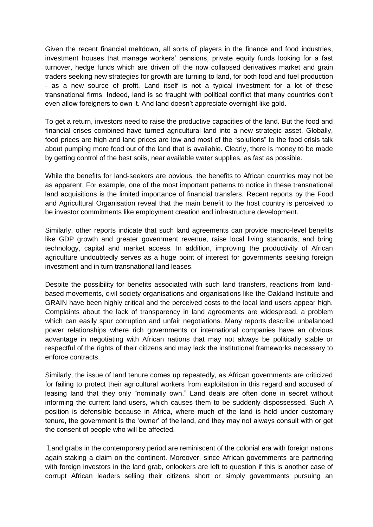Given the recent financial meltdown, all sorts of players in the finance and food industries, investment houses that manage workers' pensions, private equity funds looking for a fast turnover, hedge funds which are driven off the now collapsed derivatives market and grain traders seeking new strategies for growth are turning to land, for both food and fuel production - as a new source of profit. Land itself is not a typical investment for a lot of these transnational firms. Indeed, land is so fraught with political conflict that many countries don't even allow foreigners to own it. And land doesn't appreciate overnight like gold.

To get a return, investors need to raise the productive capacities of the land. But the food and financial crises combined have turned agricultural land into a new strategic asset. Globally, food prices are high and land prices are low and most of the "solutions" to the food crisis talk about pumping more food out of the land that is available. Clearly, there is money to be made by getting control of the best soils, near available water supplies, as fast as possible.

While the benefits for land-seekers are obvious, the benefits to African countries may not be as apparent. For example, one of the most important patterns to notice in these transnational land acquisitions is the limited importance of financial transfers. Recent reports by the Food and Agricultural Organisation reveal that the main benefit to the host country is perceived to be investor commitments like employment creation and infrastructure development.

Similarly, other reports indicate that such land agreements can provide macro-level benefits like GDP growth and greater government revenue, raise local living standards, and bring technology, capital and market access. In addition, improving the productivity of African agriculture undoubtedly serves as a huge point of interest for governments seeking foreign investment and in turn transnational land leases.

Despite the possibility for benefits associated with such land transfers, reactions from landbased movements, civil society organisations and organisations like the Oakland Institute and GRAIN have been highly critical and the perceived costs to the local land users appear high. Complaints about the lack of transparency in land agreements are widespread, a problem which can easily spur corruption and unfair negotiations. Many reports describe unbalanced power relationships where rich governments or international companies have an obvious advantage in negotiating with African nations that may not always be politically stable or respectful of the rights of their citizens and may lack the institutional frameworks necessary to enforce contracts.

Similarly, the issue of land tenure comes up repeatedly, as African governments are criticized for failing to protect their agricultural workers from exploitation in this regard and accused of leasing land that they only "nominally own." Land deals are often done in secret without informing the current land users, which causes them to be suddenly dispossessed. Such A position is defensible because in Africa, where much of the land is held under customary tenure, the government is the 'owner' of the land, and they may not always consult with or get the consent of people who will be affected.

Land grabs in the contemporary period are reminiscent of the colonial era with foreign nations again staking a claim on the continent. Moreover, since African governments are partnering with foreign investors in the land grab, onlookers are left to question if this is another case of corrupt African leaders selling their citizens short or simply governments pursuing an